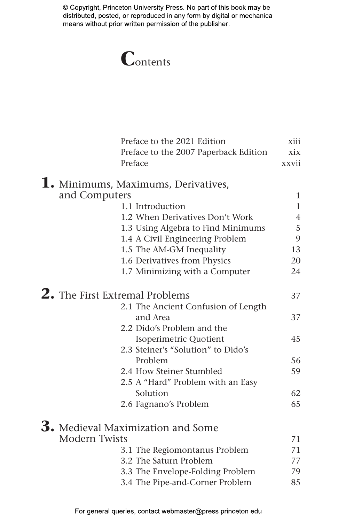# **C**ontents

|                      | Preface to the 2021 Edition           | xiii           |
|----------------------|---------------------------------------|----------------|
|                      | Preface to the 2007 Paperback Edition | xix            |
|                      | Preface                               | xxvii          |
|                      | 1. Minimums, Maximums, Derivatives,   |                |
| and Computers        |                                       | $\mathbf{1}$   |
|                      | 1.1 Introduction                      | $\mathbf{1}$   |
|                      | 1.2 When Derivatives Don't Work       | $\overline{4}$ |
|                      | 1.3 Using Algebra to Find Minimums    | 5              |
|                      | 1.4 A Civil Engineering Problem       | 9              |
|                      | 1.5 The AM-GM Inequality              | 13             |
|                      | 1.6 Derivatives from Physics          | 20             |
|                      | 1.7 Minimizing with a Computer        | 24             |
|                      | <b>2.</b> The First Extremal Problems | 37             |
|                      | 2.1 The Ancient Confusion of Length   |                |
|                      | and Area                              | 37             |
|                      | 2.2 Dido's Problem and the            |                |
|                      | Isoperimetric Quotient                | 45             |
|                      | 2.3 Steiner's "Solution" to Dido's    |                |
|                      | Problem                               | 56             |
|                      | 2.4 How Steiner Stumbled              | 59             |
|                      | 2.5 A "Hard" Problem with an Easy     |                |
|                      | Solution                              | 62             |
|                      | 2.6 Fagnano's Problem                 | 65             |
|                      | 3. Medieval Maximization and Some     |                |
| <b>Modern Twists</b> |                                       | 71             |
|                      | 3.1 The Regiomontanus Problem         | 71             |
|                      | 3.2 The Saturn Problem                | 77             |
|                      | 3.3 The Envelope-Folding Problem      | 79             |
|                      | 3.4 The Pipe-and-Corner Problem       | 85             |
|                      |                                       |                |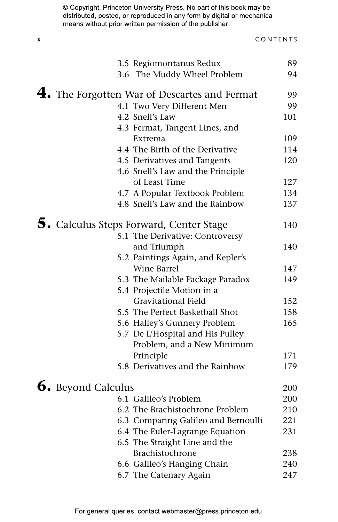| 3.5 Regiomontanus Redux                                     | 89  |
|-------------------------------------------------------------|-----|
| 3.6 The Muddy Wheel Problem                                 | 94  |
| $\boldsymbol{4.}$ The Forgotten War of Descartes and Fermat | 99  |
| 4.1 Two Very Different Men                                  | 99  |
| 4.2 Snell's Law                                             | 101 |
| 4.3 Fermat, Tangent Lines, and                              |     |
| Extrema                                                     | 109 |
| 4.4 The Birth of the Derivative                             | 114 |
| 4.5 Derivatives and Tangents                                | 120 |
| 4.6 Snell's Law and the Principle                           |     |
| of Least Time                                               | 127 |
| 4.7 A Popular Textbook Problem                              | 134 |
| 4.8 Snell's Law and the Rainbow                             | 137 |
| 5. Calculus Steps Forward, Center Stage                     | 140 |
| 5.1 The Derivative: Controversy                             |     |
| and Triumph                                                 | 140 |
| 5.2 Paintings Again, and Kepler's                           |     |
| Wine Barrel                                                 | 147 |
| 5.3 The Mailable Package Paradox                            | 149 |
| 5.4 Projectile Motion in a                                  |     |
| <b>Gravitational Field</b>                                  | 152 |
| 5.5 The Perfect Basketball Shot                             | 158 |
| 5.6 Halley's Gunnery Problem                                | 165 |
| 5.7 De L'Hospital and His Pulley                            |     |
| Problem, and a New Minimum                                  |     |
| Principle                                                   | 171 |
| 5.8 Derivatives and the Rainbow                             | 179 |
| <b>6.</b> Beyond Calculus                                   | 200 |
| 6.1 Galileo's Problem                                       | 200 |
| 6.2 The Brachistochrone Problem                             | 210 |
| 6.3 Comparing Galileo and Bernoulli                         | 221 |
| 6.4 The Euler-Lagrange Equation                             | 231 |
| 6.5 The Straight Line and the                               |     |
| Brachistochrone                                             | 238 |
| 6.6 Galileo's Hanging Chain                                 | 240 |
| 6.7 The Catenary Again                                      | 247 |
|                                                             |     |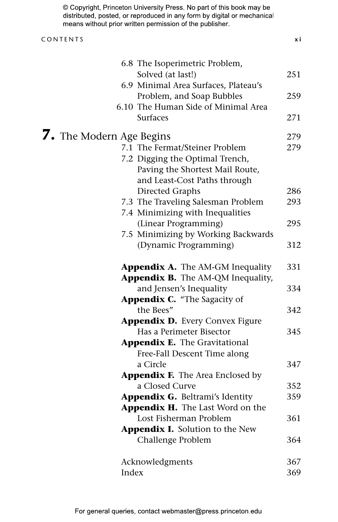| © Copyright, Princeton University Press. No part of this book may be    |
|-------------------------------------------------------------------------|
| distributed, posted, or reproduced in any form by digital or mechanical |
| means without prior written permission of the publisher                 |

#### CONTENTS **x i**

| 6.8 The Isoperimetric Problem,          |     |  |
|-----------------------------------------|-----|--|
| Solved (at last!)                       | 251 |  |
| 6.9 Minimal Area Surfaces, Plateau's    |     |  |
| Problem, and Soap Bubbles               | 259 |  |
| 6.10 The Human Side of Minimal Area     |     |  |
| <b>Surfaces</b>                         | 271 |  |
| <b>7.</b> The Modern Age Begins         |     |  |
| 7.1 The Fermat/Steiner Problem          | 279 |  |
| 7.2 Digging the Optimal Trench,         |     |  |
| Paving the Shortest Mail Route,         |     |  |
| and Least-Cost Paths through            |     |  |
| Directed Graphs                         | 286 |  |
| 7.3 The Traveling Salesman Problem      | 293 |  |
| 7.4 Minimizing with Inequalities        |     |  |
| (Linear Programming)                    | 295 |  |
| 7.5 Minimizing by Working Backwards     |     |  |
| (Dynamic Programming)                   | 312 |  |
| Appendix A. The AM-GM Inequality        | 331 |  |
| Appendix B. The AM-QM Inequality,       |     |  |
| and Jensen's Inequality                 | 334 |  |
| Appendix C. "The Sagacity of            |     |  |
| the Bees"                               | 342 |  |
| <b>Appendix D.</b> Every Convex Figure  |     |  |
| Has a Perimeter Bisector                | 345 |  |
| <b>Appendix E.</b> The Gravitational    |     |  |
| Free-Fall Descent Time along            |     |  |
| a Circle                                | 347 |  |
| <b>Appendix F.</b> The Area Enclosed by |     |  |
| a Closed Curve                          | 352 |  |
| Appendix G. Beltrami's Identity         | 359 |  |
| Appendix H. The Last Word on the        |     |  |
| Lost Fisherman Problem                  | 361 |  |
| Appendix I. Solution to the New         |     |  |
| Challenge Problem                       | 364 |  |
| Acknowledgments                         | 367 |  |
| Index                                   | 369 |  |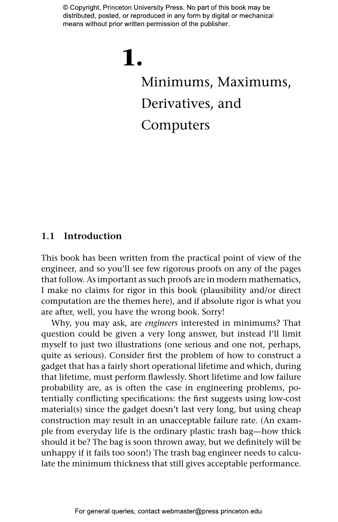# **1.** Minimums, Maximums, Derivatives, and Computers

### **1.1 Introduction**

This book has been written from the practical point of view of the engineer, and so you'll see few rigorous proofs on any of the pages that follow. As important as such proofs are in modern mathematics, I make no claims for rigor in this book (plausibility and/or direct computation are the themes here), and if absolute rigor is what you are after, well, you have the wrong book. Sorry!

Why, you may ask, are *engineers* interested in minimums? That question could be given a very long answer, but instead I'll limit myself to just two illustrations (one serious and one not, perhaps, quite as serious). Consider first the problem of how to construct a gadget that has a fairly short operational lifetime and which, during that lifetime, must perform flawlessly. Short lifetime and low failure probability are, as is often the case in engineering problems, potentially conflicting specifications: the first suggests using low-cost material(s) since the gadget doesn't last very long, but using cheap construction may result in an unacceptable failure rate. (An example from everyday life is the ordinary plastic trash bag—how thick should it be? The bag is soon thrown away, but we definitely will be unhappy if it fails too soon!) The trash bag engineer needs to calculate the minimum thickness that still gives acceptable performance.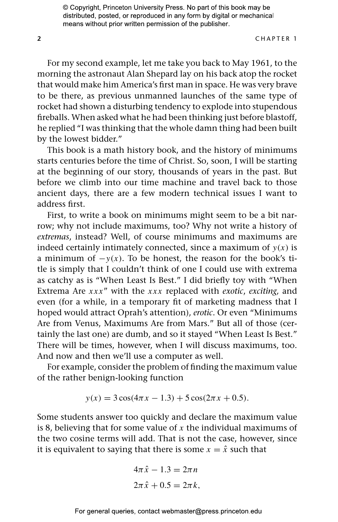**2** CHAPTER 1

For my second example, let me take you back to May 1961, to the morning the astronaut Alan Shepard lay on his back atop the rocket that would make him America's first man in space. He was very brave to be there, as previous unmanned launches of the same type of rocket had shown a disturbing tendency to explode into stupendous fireballs. When asked what he had been thinking just before blastoff, he replied "I was thinking that the whole damn thing had been built by the lowest bidder."

This book is a math history book, and the history of minimums starts centuries before the time of Christ. So, soon, I will be starting at the beginning of our story, thousands of years in the past. But before we climb into our time machine and travel back to those ancient days, there are a few modern technical issues I want to address first.

First, to write a book on minimums might seem to be a bit narrow; why not include maximums, too? Why not write a history of *extremas*, instead? Well, of course minimums and maximums are indeed certainly intimately connected, since a maximum of  $y(x)$  is a minimum of  $-y(x)$ . To be honest, the reason for the book's title is simply that I couldn't think of one I could use with extrema as catchy as is "When Least Is Best." I did briefly toy with "When Extrema Are *xxx*" with the *xxx* replaced with *exotic*, *exciting,* and even (for a while, in a temporary fit of marketing madness that I hoped would attract Oprah's attention), *erotic*. Or even "Minimums Are from Venus, Maximums Are from Mars." But all of those (certainly the last one) are dumb, and so it stayed "When Least Is Best." There will be times, however, when I will discuss maximums, too. And now and then we'll use a computer as well.

For example, consider the problem of finding the maximum value of the rather benign-looking function

$$
y(x) = 3\cos(4\pi x - 1.3) + 5\cos(2\pi x + 0.5).
$$

Some students answer too quickly and declare the maximum value is 8, believing that for some value of *x* the individual maximums of the two cosine terms will add. That is not the case, however, since it is equivalent to saying that there is some  $x = \hat{x}$  such that

$$
4\pi \hat{x} - 1.3 = 2\pi n
$$

$$
2\pi \hat{x} + 0.5 = 2\pi k,
$$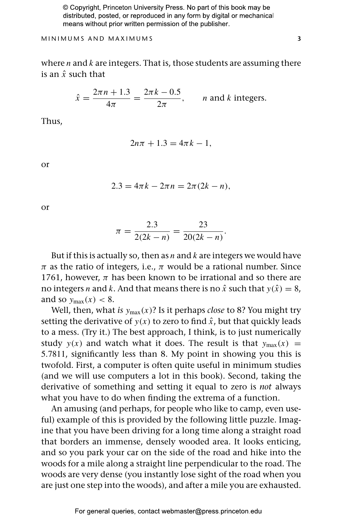MINIMUMS AND MAXIMUMS **3**

where *n* and *k* are integers. That is, those students are assuming there is an *x*ˆ such that

$$
\hat{x} = \frac{2\pi n + 1.3}{4\pi} = \frac{2\pi k - 0.5}{2\pi}, \qquad n \text{ and } k \text{ integers.}
$$

Thus,

$$
2n\pi + 1.3 = 4\pi k - 1,
$$

or

$$
2.3 = 4\pi k - 2\pi n = 2\pi (2k - n),
$$

or

$$
\pi = \frac{2.3}{2(2k - n)} = \frac{23}{20(2k - n)}.
$$

But if this is actually so, then as *n* and *k* are integers we would have *π* as the ratio of integers, i.e., *π* would be a rational number. Since 1761, however,  $\pi$  has been known to be irrational and so there are no integers *n* and *k*. And that means there is no  $\hat{x}$  such that  $y(\hat{x}) = 8$ , and so  $v_{\text{max}}(x) < 8$ .

Well, then, what *is y*max*(x)*? Is it perhaps *close* to 8? You might try setting the derivative of  $y(x)$  to zero to find  $\hat{x}$ , but that quickly leads to a mess. (Try it.) The best approach, I think, is to just numerically study  $y(x)$  and watch what it does. The result is that  $y_{max}(x)$  = 5*.*7811, significantly less than 8. My point in showing you this is twofold. First, a computer is often quite useful in minimum studies (and we will use computers a lot in this book). Second, taking the derivative of something and setting it equal to zero is *not* always what you have to do when finding the extrema of a function.

An amusing (and perhaps, for people who like to camp, even useful) example of this is provided by the following little puzzle. Imagine that you have been driving for a long time along a straight road that borders an immense, densely wooded area. It looks enticing, and so you park your car on the side of the road and hike into the woods for a mile along a straight line perpendicular to the road. The woods are very dense (you instantly lose sight of the road when you are just one step into the woods), and after a mile you are exhausted.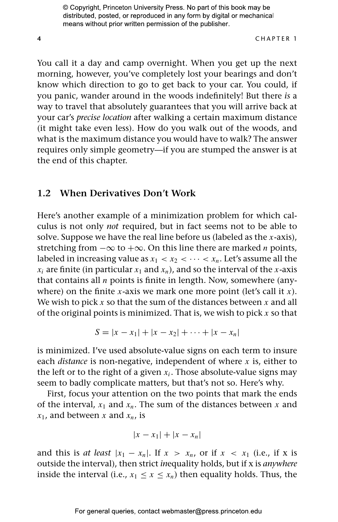#### **4** CHAPTER 1

You call it a day and camp overnight. When you get up the next morning, however, you've completely lost your bearings and don't know which direction to go to get back to your car. You could, if you panic, wander around in the woods indefinitely! But there *is* a way to travel that absolutely guarantees that you will arrive back at your car's *precise location* after walking a certain maximum distance (it might take even less). How do you walk out of the woods, and what is the maximum distance you would have to walk? The answer requires only simple geometry—if you are stumped the answer is at the end of this chapter.

#### **1.2 When Derivatives Don't Work**

Here's another example of a minimization problem for which calculus is not only *not* required, but in fact seems not to be able to solve. Suppose we have the real line before us (labeled as the *x*-axis), stretching from −∞ to +∞. On this line there are marked *n* points, labeled in increasing value as  $x_1 < x_2 < \cdots < x_n$ . Let's assume all the  $x_i$  are finite (in particular  $x_1$  and  $x_n$ ), and so the interval of the *x*-axis that contains all *n* points is finite in length. Now, somewhere (anywhere) on the finite *x*-axis we mark one more point (let's call it *x*). We wish to pick *x* so that the sum of the distances between *x* and all of the original points is minimized. That is, we wish to pick *x* so that

$$
S = |x - x_1| + |x - x_2| + \cdots + |x - x_n|
$$

is minimized. I've used absolute-value signs on each term to insure each *distance* is non-negative, independent of where *x* is, either to the left or to the right of a given  $x_i$ . Those absolute-value signs may seem to badly complicate matters, but that's not so. Here's why.

First, focus your attention on the two points that mark the ends of the interval,  $x_1$  and  $x_n$ . The sum of the distances between x and  $x_1$ , and between *x* and  $x_n$ , is

$$
|x - x_1| + |x - x_n|
$$

and this is *at least*  $|x_1 - x_n|$ . If  $x > x_n$ , or if  $x < x_1$  (i.e., if x is outside the interval), then strict *in*equality holds, but if x is *anywhere* inside the interval (i.e.,  $x_1 \le x \le x_n$ ) then equality holds. Thus, the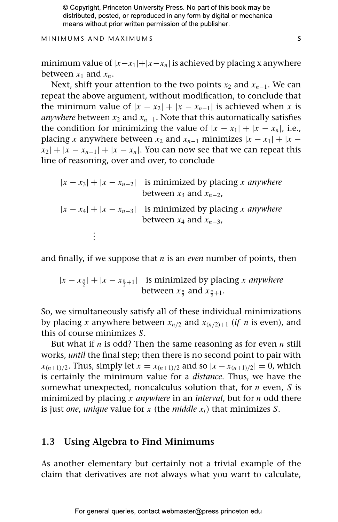MINIMUMS AND MAXIMUMS **5**

minimum value of |*x*−*x*1|+|*x*−*xn*| is achieved by placing x anywhere between  $x_1$  and  $x_n$ .

Next, shift your attention to the two points *x*<sub>2</sub> and *x*<sub>n−1</sub>. We can repeat the above argument, without modification, to conclude that the minimum value of  $|x - x_2| + |x - x_{n-1}|$  is achieved when *x* is *anywhere* between  $x_2$  and  $x_{n-1}$ . Note that this automatically satisfies the condition for minimizing the value of  $|x - x_1| + |x - x_n|$ , i.e., placing *x* anywhere between  $x_2$  and  $x_{n-1}$  minimizes  $|x - x_1| + |x - x_2|$  $|x_2|+|x-x_{n-1}|+|x-x_n|$ . You can now see that we can repeat this line of reasoning, over and over, to conclude

 $|x - x_3| + |x - x_{n-2}|$  is minimized by placing *x anywhere* between  $x_3$  and  $x_{n-2}$ ,  $|x - x_4| + |x - x_{n-3}|$  is minimized by placing *x anywhere* between  $x_4$  and  $x_{n-3}$ , *. . .*

and finally, if we suppose that *n* is an *even* number of points, then

 $|x - x_{\frac{n}{2}}| + |x - x_{\frac{n}{2}+1}|$  is minimized by placing *x anywhere* between  $x_{\frac{n}{2}}$  and  $x_{\frac{n}{2}+1}$ .

So, we simultaneously satisfy all of these individual minimizations by placing *x* anywhere between  $x_{n/2}$  and  $x_{(n/2)+1}$  (*if n* is even), and this of course minimizes *S*.

But what if *n* is odd? Then the same reasoning as for even *n* still works, *until* the final step; then there is no second point to pair with *x*<sub>(*n*+1)/2</sub>. Thus, simply let *x* = *x*<sub>(*n*+1)/2</sub> and so  $|x - x_{(n+1)/2}| = 0$ , which is certainly the minimum value for a *distance*. Thus, we have the somewhat unexpected, noncalculus solution that, for *n* even, *S* is minimized by placing *x anywhere* in an *interval*, but for *n* odd there is just *one*, *unique* value for *x* (the *middle*  $x_i$ ) that minimizes *S*.

# **1.3 Using Algebra to Find Minimums**

As another elementary but certainly not a trivial example of the claim that derivatives are not always what you want to calculate,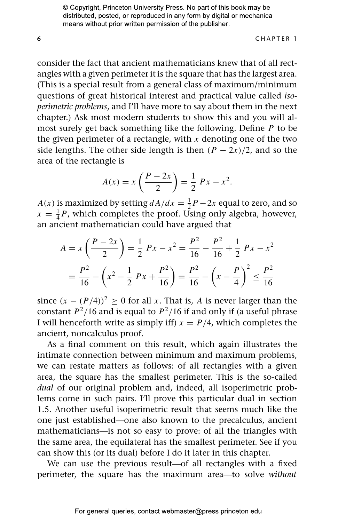**6** CHAPTER 1

consider the fact that ancient mathematicians knew that of all rectangles with a given perimeter it is the square that has the largest area. (This is a special result from a general class of maximum/minimum questions of great historical interest and practical value called *isoperimetric problems*, and I'll have more to say about them in the next chapter.) Ask most modern students to show this and you will almost surely get back something like the following. Define *P* to be the given perimeter of a rectangle, with  $x$  denoting one of the two side lengths. The other side length is then  $(P - 2x)/2$ , and so the area of the rectangle is

$$
A(x) = x \left( \frac{P - 2x}{2} \right) = \frac{1}{2} Px - x^2.
$$

*A(x)* is maximized by setting  $dA/dx = \frac{1}{2}P - 2x$  equal to zero, and so  $x = \frac{1}{4}P$ , which completes the proof. Using only algebra, however, an ancient mathematician could have argued that

$$
A = x \left(\frac{P - 2x}{2}\right) = \frac{1}{2} Px - x^2 = \frac{P^2}{16} - \frac{P^2}{16} + \frac{1}{2} Px - x^2
$$

$$
= \frac{P^2}{16} - \left(x^2 - \frac{1}{2} Px + \frac{P^2}{16}\right) = \frac{P^2}{16} - \left(x - \frac{P}{4}\right)^2 \le \frac{P^2}{16}
$$

since  $(x - (P/4))^2 > 0$  for all *x*. That is, *A* is never larger than the constant  $P^2/16$  and is equal to  $P^2/16$  if and only if (a useful phrase I will henceforth write as simply iff)  $x = P/4$ , which completes the ancient, noncalculus proof.

As a final comment on this result, which again illustrates the intimate connection between minimum and maximum problems, we can restate matters as follows: of all rectangles with a given area, the square has the smallest perimeter. This is the so-called *dual* of our original problem and, indeed, all isoperimetric problems come in such pairs. I'll prove this particular dual in section 1.5. Another useful isoperimetric result that seems much like the one just established—one also known to the precalculus, ancient mathematicians—is not so easy to prove: of all the triangles with the same area, the equilateral has the smallest perimeter. See if you can show this (or its dual) before I do it later in this chapter.

We can use the previous result—of all rectangles with a fixed perimeter, the square has the maximum area—to solve *without*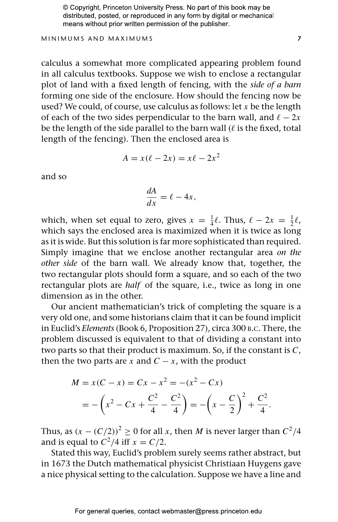MINIMUMS AND MAXIMUMS **7**

calculus a somewhat more complicated appearing problem found in all calculus textbooks. Suppose we wish to enclose a rectangular plot of land with a fixed length of fencing, with the *side of a barn* forming one side of the enclosure. How should the fencing now be used? We could, of course, use calculus as follows: let *x* be the length of each of the two sides perpendicular to the barn wall, and  $\ell - 2x$ be the length of the side parallel to the barn wall ( $\ell$  is the fixed, total length of the fencing). Then the enclosed area is

$$
A = x(\ell - 2x) = x\ell - 2x^2
$$

and so

$$
\frac{dA}{dx} = \ell - 4x,
$$

which, when set equal to zero, gives  $x = \frac{1}{4}\ell$ . Thus,  $\ell - 2x = \frac{1}{2}\ell$ , which says the enclosed area is maximized when it is twice as long as it is wide. But this solution is far more sophisticated than required. Simply imagine that we enclose another rectangular area *on the other side* of the barn wall. We already know that, together, the two rectangular plots should form a square, and so each of the two rectangular plots are *half* of the square, i.e., twice as long in one dimension as in the other.

Our ancient mathematician's trick of completing the square is a very old one, and some historians claim that it can be found implicit in Euclid's *Elements* (Book 6, Proposition 27), circa 300 B.C. There, the problem discussed is equivalent to that of dividing a constant into two parts so that their product is maximum. So, if the constant is *C*, then the two parts are *x* and  $C - x$ , with the product

$$
M = x(C - x) = Cx - x2 = -(x2 - Cx)
$$
  
= -\left(x<sup>2</sup> - Cx + \frac{C<sup>2</sup>}{4} - \frac{C<sup>2</sup>}{4}\right) = -\left(x - \frac{C}{2}\right)<sup>2</sup> + \frac{C<sup>2</sup>}{4}.

Thus, as  $(x - (C/2))^2 \ge 0$  for all *x*, then *M* is never larger than  $C^2/4$ and is equal to  $C^2/4$  iff  $x = C/2$ .

Stated this way, Euclid's problem surely seems rather abstract, but in 1673 the Dutch mathematical physicist Christiaan Huygens gave a nice physical setting to the calculation. Suppose we have a line and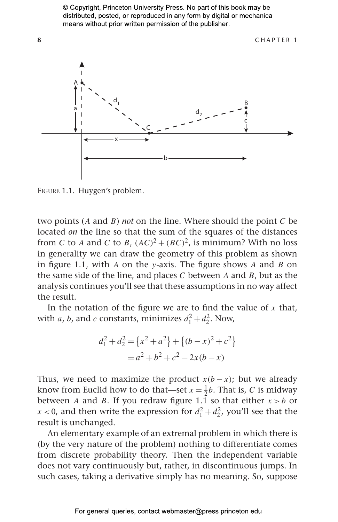

 $\frac{1}{2}$ 

two points (<sup>A</sup> and <sup>B</sup>) *not* on the line. Where should the point <sup>C</sup> be located *on* the line so that the sum of the squares of the distances from *C* to *A* and *C* to *B*,  $(AC)^2 + (BC)^2$ , is minimum? With no loss in generality we can draw the geometry of this problem as shown in figure 1.1, with A on the y-axis. The figure shows A and B on the same side of the line, and places G between A and B but as the the same side of the line, and places  $C$  between  $A$  and  $B$ , but as the analysis continues you'll see that these assumptions in no way affect the result.

In the notation of the figure we are to find the value of x that,<br>with a h and a constants minimizes  $d^2 + d^2$ . Now with *a*, *b*, and *c* constants, minimizes  $d_1^2 + d_2^2$ . Now,

$$
d_1^2 + d_2^2 = \{x^2 + a^2\} + \{(b - x)^2 + c^2\}
$$
  
=  $a^2 + b^2 + c^2 - 2x(b - x)$ 

Thus, we need to maximize the product  $x(b - x)$ ; but we already know from Euclid how to do that—set  $x = \frac{1}{2}b$ . That is, C is midway between A and B. If you redraw figure 1.1 so that either  $x > b$  or  $x < 0$ , and then write the expression for  $d_1^2 + d_2^2$ , you'll see that the result is unchanged result is unchanged.<br>An elementary example of an extremal problem in which there is

(by the very nature of the problem) nothing to differentiate comes from discrete probability theory. Then the independent variable does not vary continuously but, rather, in discontinuous jumps. In  $\frac{d}{dx}$  $s$ uch cases, taking a derivative simply has no meaning. So, suppose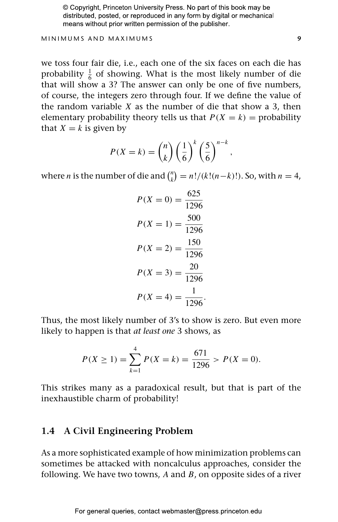#### MINIMUMS AND MAXIMUMS **9**

we toss four fair die, i.e., each one of the six faces on each die has probability  $\frac{1}{6}$  of showing. What is the most likely number of die that will show a 3? The answer can only be one of five numbers, of course, the integers zero through four. If we define the value of the random variable *X* as the number of die that show a 3, then elementary probability theory tells us that  $P(X = k) =$  probability that  $X = k$  is given by

$$
P(X = k) = {n \choose k} \left(\frac{1}{6}\right)^k \left(\frac{5}{6}\right)^{n-k},
$$

where *n* is the number of die and  $\binom{n}{k} = \frac{n!}{k!(n-k)!}$ . So, with  $n = 4$ ,

$$
P(X = 0) = \frac{625}{1296}
$$

$$
P(X = 1) = \frac{500}{1296}
$$

$$
P(X = 2) = \frac{150}{1296}
$$

$$
P(X = 3) = \frac{20}{1296}
$$

$$
P(X = 4) = \frac{1}{1296}.
$$

Thus, the most likely number of 3's to show is zero. But even more likely to happen is that *at least one* 3 shows, as

$$
P(X \ge 1) = \sum_{k=1}^{4} P(X = k) = \frac{671}{1296} > P(X = 0).
$$

This strikes many as a paradoxical result, but that is part of the inexhaustible charm of probability!

## **1.4 A Civil Engineering Problem**

As a more sophisticated example of how minimization problems can sometimes be attacked with noncalculus approaches, consider the following. We have two towns, *A* and *B*, on opposite sides of a river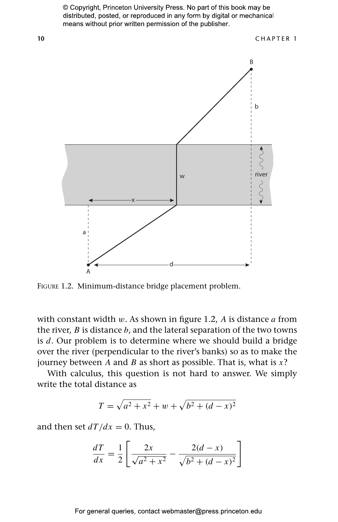

FIGURE 1.2. Minimum-distance bridge placement problem.

with constant width *w*. As shown in figure 1.2, *A* is distance *a* from the river, *B* is distance *b*, and the lateral separation of the two towns is *d*. Our problem is to determine where we should build a bridge over the river (perpendicular to the river's banks) so as to make the journey between *A* and *B* as short as possible. That is, what is *x*?

With calculus, this question is not hard to answer. We simply write the total distance as

$$
T = \sqrt{a^2 + x^2} + w + \sqrt{b^2 + (d - x)^2}
$$

and then set  $dT/dx = 0$ . Thus,

$$
\frac{dT}{dx} = \frac{1}{2} \left[ \frac{2x}{\sqrt{a^2 + x^2}} - \frac{2(d - x)}{\sqrt{b^2 + (d - x)^2}} \right]
$$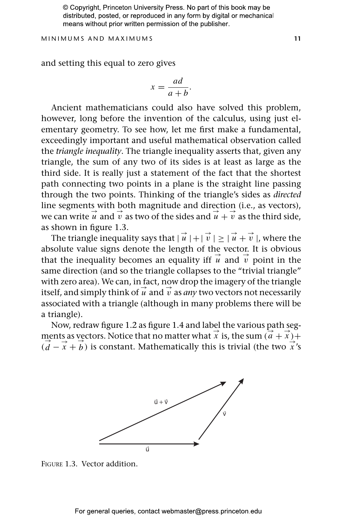MINIMUMS AND MAXIMUMS **11**

and setting this equal to zero gives

$$
x = \frac{ad}{a+b}.
$$

Ancient mathematicians could also have solved this problem, however, long before the invention of the calculus, using just elementary geometry. To see how, let me first make a fundamental, exceedingly important and useful mathematical observation called the *triangle inequality*. The triangle inequality asserts that, given any triangle, the sum of any two of its sides is at least as large as the third side. It is really just a statement of the fact that the shortest path connecting two points in a plane is the straight line passing through the two points. Thinking of the triangle's sides as *directed* line segments with both magnitude and direction (i.e., as vectors), we can write  $\vec{u}$  and  $\vec{v}$  as two of the sides and  $\vec{u} + \vec{v}$  as the third side, as shown in figure 1.3.

The triangle inequality says that  $|\vec{u}| + |\vec{v}| \ge |\vec{u} + \vec{v}|$ , where the absolute value signs denote the length of the vector. It is obvious that the inequality becomes an equality iff  $\vec{u}$  and  $\vec{v}$  point in the same direction (and so the triangle collapses to the "trivial triangle" with zero area). We can, in fact, now drop the imagery of the triangle itself, and simply think of  $\vec{u}$  and  $\vec{v}$  as *any* two vectors not necessarily associated with a triangle (although in many problems there will be a triangle).

Now, redraw figure 1.2 as figure 1.4 and label the various path segments as vectors. Notice that no matter what  $\vec{x}$  is, the sum  $(\vec{a} + \vec{x}) +$  $(d - \vec{x} + \vec{b})$  is constant. Mathematically this is trivial (the two  $\vec{x}$ 's



FIGURE 1.3. Vector addition.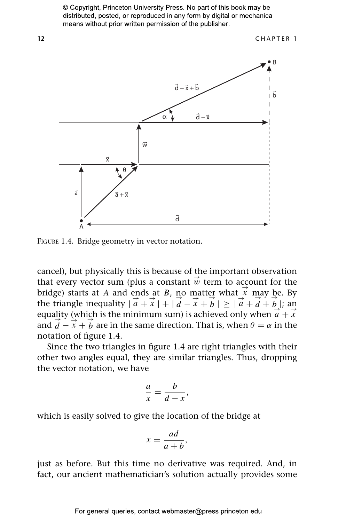

FIGURE 1.4. Bridge geometry in vector notation.

cancel), but physically this is because of the important observation that every vector sum (plus a constant  $\vec{w}$  term to account for the bridge) starts at *A* and ends at *B*, no matter what  $\vec{x}$  may be. By the triangle inequality  $|\vec{a} + \vec{x}| + |\vec{d} - \vec{x} + \vec{b}| \geq |\vec{a} + \vec{d} + \vec{b}|$ ; and equality (which is the minimum sum) is achieved only when  $\vec{a} + \vec{x}$ and  $\overrightarrow{d} - \overrightarrow{x} + \overrightarrow{b}$  are in the same direction. That is, when  $\theta = \alpha$  in the notation of figure 1.4.

Since the two triangles in figure 1.4 are right triangles with their other two angles equal, they are similar triangles. Thus, dropping the vector notation, we have

$$
\frac{a}{x} = \frac{b}{d-x}
$$

*,*

which is easily solved to give the location of the bridge at

$$
x = \frac{ad}{a+b},
$$

just as before. But this time no derivative was required. And, in fact, our ancient mathematician's solution actually provides some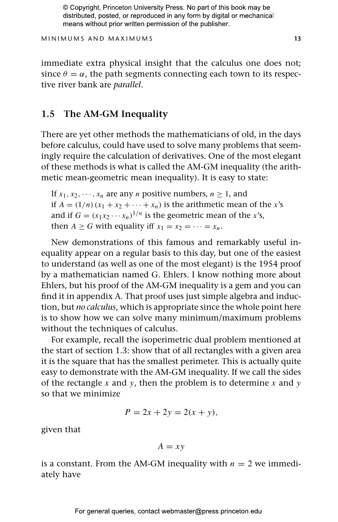MINIMUMS AND MAXIMUMS **13**

immediate extra physical insight that the calculus one does not; since  $\theta = \alpha$ , the path segments connecting each town to its respective river bank are *parallel*.

## **1.5 The AM-GM Inequality**

There are yet other methods the mathematicians of old, in the days before calculus, could have used to solve many problems that seemingly require the calculation of derivatives. One of the most elegant of these methods is what is called the AM-GM inequality (the arithmetic mean-geometric mean inequality). It is easy to state:

If  $x_1, x_2, \dots, x_n$  are any *n* positive numbers,  $n \ge 1$ , and if  $A = (1/n)(x_1 + x_2 + \cdots + x_n)$  is the arithmetic mean of the *x*'s and if  $G = (x_1x_2 \cdots x_n)^{1/n}$  is the geometric mean of the *x*'s, then  $A \ge G$  with equality iff  $x_1 = x_2 = \cdots = x_n$ .

New demonstrations of this famous and remarkably useful inequality appear on a regular basis to this day, but one of the easiest to understand (as well as one of the most elegant) is the 1954 proof by a mathematician named G. Ehlers. I know nothing more about Ehlers, but his proof of the AM-GM inequality is a gem and you can find it in appendix A. That proof uses just simple algebra and induction, but *no calculus*, which is appropriate since the whole point here is to show how we can solve many minimum/maximum problems without the techniques of calculus.

For example, recall the isoperimetric dual problem mentioned at the start of section 1.3: show that of all rectangles with a given area it is the square that has the smallest perimeter. This is actually quite easy to demonstrate with the AM-GM inequality. If we call the sides of the rectangle *x* and *y*, then the problem is to determine *x* and *y* so that we minimize

$$
P = 2x + 2y = 2(x + y),
$$

given that

$$
A = xy
$$

is a constant. From the AM-GM inequality with  $n = 2$  we immediately have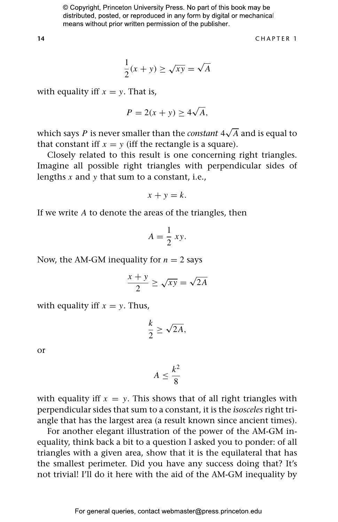**14** CHAPTER 1

$$
\frac{1}{2}(x+y) \ge \sqrt{xy} = \sqrt{A}
$$

with equality iff  $x = y$ . That is,

$$
P = 2(x + y) \ge 4\sqrt{A},
$$

which says  $P$  is never smaller than the  $constant$   $4\sqrt{A}$  and is equal to that constant iff  $x = y$  (iff the rectangle is a square).

Closely related to this result is one concerning right triangles. Imagine all possible right triangles with perpendicular sides of lengths *x* and *y* that sum to a constant, i.e.,

$$
x + y = k.
$$

If we write *A* to denote the areas of the triangles, then

$$
A = \frac{1}{2} \, xy.
$$

Now, the AM-GM inequality for  $n = 2$  says

$$
\frac{x+y}{2} \ge \sqrt{xy} = \sqrt{2A}
$$

with equality iff  $x = y$ . Thus,

$$
\frac{k}{2} \ge \sqrt{2A},
$$

or

$$
A \leq \frac{k^2}{8}
$$

with equality iff  $x = y$ . This shows that of all right triangles with perpendicular sides that sum to a constant, it is the *isosceles* right triangle that has the largest area (a result known since ancient times).

For another elegant illustration of the power of the AM-GM inequality, think back a bit to a question I asked you to ponder: of all triangles with a given area, show that it is the equilateral that has the smallest perimeter. Did you have any success doing that? It's not trivial! I'll do it here with the aid of the AM-GM inequality by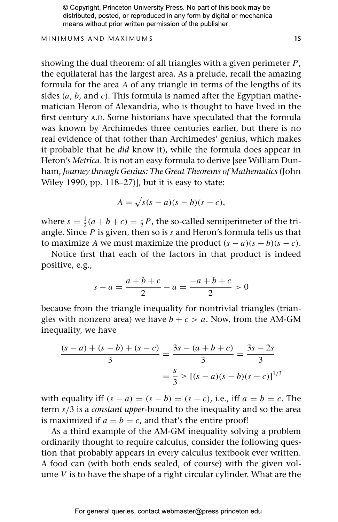#### MINIMUMS AND MAXIMUMS **15**

showing the dual theorem: of all triangles with a given perimeter *P*, the equilateral has the largest area. As a prelude, recall the amazing formula for the area *A* of any triangle in terms of the lengths of its sides (*a*, *b*, and *c*). This formula is named after the Egyptian mathematician Heron of Alexandria, who is thought to have lived in the first century A.D. Some historians have speculated that the formula was known by Archimedes three centuries earlier, but there is no real evidence of that (other than Archimedes' genius, which makes it probable that he *did* know it), while the formula does appear in Heron's *Metrica*. It is not an easy formula to derive [see William Dunham, *Journey through Genius: The Great Theorems of Mathematics* (John Wiley 1990, pp. 118–27)], but it is easy to state:

$$
A = \sqrt{s(s-a)(s-b)(s-c)},
$$

where  $s = \frac{1}{2}(a+b+c) = \frac{1}{2}P$ , the so-called semiperimeter of the triangle. Since *P* is given, then so is *s* and Heron's formula tells us that to maximize *A* we must maximize the product  $(s - a)(s - b)(s - c)$ .

Notice first that each of the factors in that product is indeed positive, e.g.,

$$
s - a = \frac{a + b + c}{2} - a = \frac{-a + b + c}{2} > 0
$$

because from the triangle inequality for nontrivial triangles (triangles with nonzero area) we have  $b + c > a$ . Now, from the AM-GM inequality, we have

$$
\frac{(s-a) + (s-b) + (s-c)}{3} = \frac{3s - (a+b+c)}{3} = \frac{3s - 2s}{3}
$$

$$
= \frac{s}{3} \ge [(s-a)(s-b)(s-c)]^{1/3}
$$

with equality iff  $(s - a) = (s - b) = (s - c)$ , i.e., iff  $a = b = c$ . The term *s/*3 is a *constant upper*-bound to the inequality and so the area is maximized if  $a = b = c$ , and that's the entire proof!

As a third example of the AM-GM inequality solving a problem ordinarily thought to require calculus, consider the following question that probably appears in every calculus textbook ever written. A food can (with both ends sealed, of course) with the given volume *V* is to have the shape of a right circular cylinder. What are the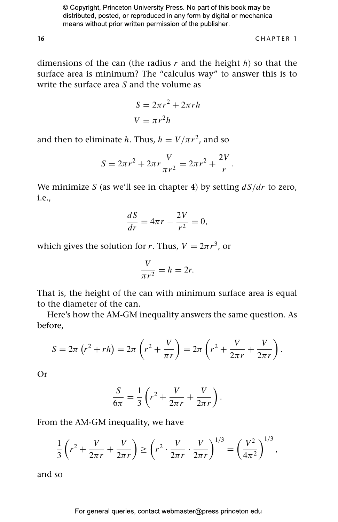**16** CHAPTER 1

dimensions of the can (the radius *r* and the height *h*) so that the surface area is minimum? The "calculus way" to answer this is to write the surface area *S* and the volume as

$$
S = 2\pi r^2 + 2\pi rh
$$

$$
V = \pi r^2 h
$$

and then to eliminate *h*. Thus,  $h = V/\pi r^2$ , and so

$$
S = 2\pi r^2 + 2\pi r \frac{V}{\pi r^2} = 2\pi r^2 + \frac{2V}{r}.
$$

We minimize *S* (as we'll see in chapter 4) by setting *dS/dr* to zero, i.e.,

$$
\frac{dS}{dr} = 4\pi r - \frac{2V}{r^2} = 0,
$$

which gives the solution for *r*. Thus,  $V = 2\pi r^3$ , or

$$
\frac{V}{\pi r^2} = h = 2r.
$$

That is, the height of the can with minimum surface area is equal to the diameter of the can.

Here's how the AM-GM inequality answers the same question. As before,

$$
S = 2\pi (r^2 + rh) = 2\pi (r^2 + \frac{V}{\pi r}) = 2\pi (r^2 + \frac{V}{2\pi r} + \frac{V}{2\pi r}).
$$

Or

$$
\frac{S}{6\pi} = \frac{1}{3}\left(r^2 + \frac{V}{2\pi r} + \frac{V}{2\pi r}\right).
$$

From the AM-GM inequality, we have

$$
\frac{1}{3}\left(r^2 + \frac{V}{2\pi r} + \frac{V}{2\pi r}\right) \ge \left(r^2 \cdot \frac{V}{2\pi r} \cdot \frac{V}{2\pi r}\right)^{1/3} = \left(\frac{V^2}{4\pi^2}\right)^{1/3},
$$

and so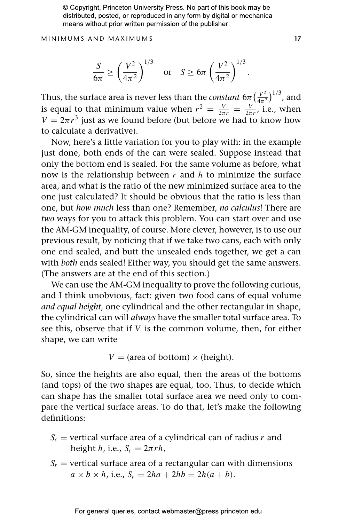MINIMUMS AND MAXIMUMS **17**

$$
\frac{S}{6\pi} \ge \left(\frac{V^2}{4\pi^2}\right)^{1/3} \quad \text{or} \quad S \ge 6\pi \left(\frac{V^2}{4\pi^2}\right)^{1/3}.
$$

Thus, the surface area is never less than the *constant* 6 $\pi(\frac{V^2}{4\pi^2})^{1/3}$ , and is equal to that minimum value when  $r^2 = \frac{V}{2\pi r} = \frac{V}{2\pi r}$ , i.e., when  $V = 2\pi r^3$  just as we found before (but before we had to know how to calculate a derivative).

Now, here's a little variation for you to play with: in the example just done, both ends of the can were sealed. Suppose instead that only the bottom end is sealed. For the same volume as before, what now is the relationship between *r* and *h* to minimize the surface area, and what is the ratio of the new minimized surface area to the one just calculated? It should be obvious that the ratio is less than one, but *how much* less than one? Remember, *no calculus*! There are *two* ways for you to attack this problem. You can start over and use the AM-GM inequality, of course. More clever, however, is to use our previous result, by noticing that if we take two cans, each with only one end sealed, and butt the unsealed ends together, we get a can with *both* ends sealed! Either way, you should get the same answers. (The answers are at the end of this section.)

We can use the AM-GM inequality to prove the following curious, and I think unobvious, fact: given two food cans of equal volume *and equal height*, one cylindrical and the other rectangular in shape, the cylindrical can will *always* have the smaller total surface area. To see this, observe that if *V* is the common volume, then, for either shape, we can write

 $V = (area of bottom) \times (height).$ 

So, since the heights are also equal, then the areas of the bottoms (and tops) of the two shapes are equal, too. Thus, to decide which can shape has the smaller total surface area we need only to compare the vertical surface areas. To do that, let's make the following definitions:

- $S_c$  = vertical surface area of a cylindrical can of radius *r* and height *h*, i.e.,  $S_c = 2\pi rh$ ,
- $S_r$  = vertical surface area of a rectangular can with dimensions  $a \times b \times h$ , i.e.,  $S_r = 2ha + 2hb = 2h(a + b)$ .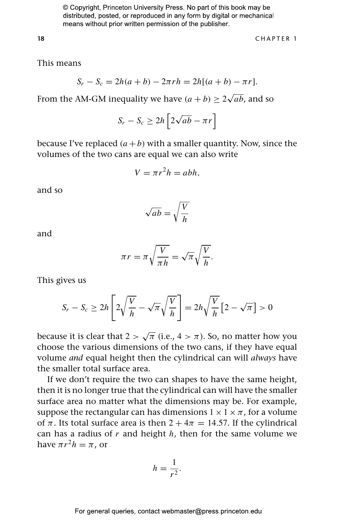**18** CHAPTER 1

This means

$$
S_r - S_c = 2h(a+b) - 2\pi rh = 2h[(a+b) - \pi r].
$$

From the AM-GM inequality we have  $(a + b) \ge 2\sqrt{ab}$ , and so

$$
S_r - S_c \ge 2h \left[ 2\sqrt{ab} - \pi r \right]
$$

because I've replaced  $(a + b)$  with a smaller quantity. Now, since the volumes of the two cans are equal we can also write

$$
V = \pi r^2 h = abh,
$$

and so

$$
\sqrt{ab} = \sqrt{\frac{V}{h}}
$$

and

$$
\pi r = \pi \sqrt{\frac{V}{\pi h}} = \sqrt{\pi} \sqrt{\frac{V}{h}}.
$$

This gives us

$$
S_r - S_c \ge 2h \left[ 2\sqrt{\frac{V}{h}} - \sqrt{\pi}\sqrt{\frac{V}{h}} \right] = 2h\sqrt{\frac{V}{h}} \left[ 2 - \sqrt{\pi} \right] > 0
$$

because it is clear that  $2 > \sqrt{\pi}$  (i.e.,  $4 > \pi$ ). So, no matter how you choose the various dimensions of the two cans, if they have equal volume *and* equal height then the cylindrical can will *always* have the smaller total surface area.

If we don't require the two can shapes to have the same height, then it is no longer true that the cylindrical can will have the smaller surface area no matter what the dimensions may be. For example, suppose the rectangular can has dimensions  $1 \times 1 \times \pi$ , for a volume of  $\pi$ . Its total surface area is then  $2 + 4\pi = 14.57$ . If the cylindrical can has a radius of *r* and height *h*, then for the same volume we have  $\pi r^2 h = \pi$ , or

$$
h=\frac{1}{r^2}.
$$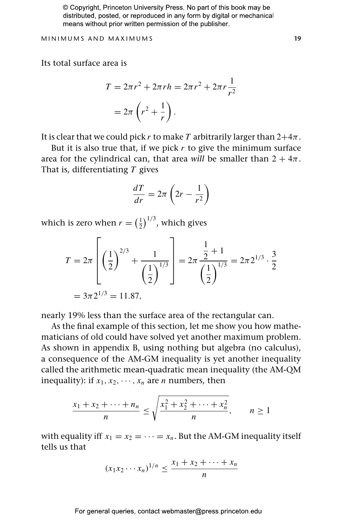MINIMUMS AND MAXIMUMS **19**

Its total surface area is

$$
T = 2\pi r^2 + 2\pi rh = 2\pi r^2 + 2\pi r \frac{1}{r^2}
$$

$$
= 2\pi \left( r^2 + \frac{1}{r} \right).
$$

It is clear that we could pick *r* to make *T* arbitrarily larger than  $2+4\pi$ .

But it is also true that, if we pick *r* to give the minimum surface area for the cylindrical can, that area *will* be smaller than  $2 + 4\pi$ . That is, differentiating *T* gives

$$
\frac{dT}{dr} = 2\pi \left(2r - \frac{1}{r^2}\right)
$$

which is zero when  $r = \left(\frac{1}{2}\right)^{1/3}$ , which gives

$$
T = 2\pi \left[ \left( \frac{1}{2} \right)^{2/3} + \frac{1}{\left( \frac{1}{2} \right)^{1/3}} \right] = 2\pi \frac{\frac{1}{2} + 1}{\left( \frac{1}{2} \right)^{1/3}} = 2\pi 2^{1/3} \cdot \frac{3}{2}
$$

$$
= 3\pi 2^{1/3} = 11.87,
$$

nearly 19% less than the surface area of the rectangular can.

As the final example of this section, let me show you how mathematicians of old could have solved yet another maximum problem. As shown in appendix B, using nothing but algebra (no calculus), a consequence of the AM-GM inequality is yet another inequality called the arithmetic mean-quadratic mean inequality (the AM-QM inequality): if  $x_1, x_2, \dots, x_n$  are *n* numbers, then

$$
\frac{x_1 + x_2 + \dots + n_n}{n} \le \sqrt{\frac{x_1^2 + x_2^2 + \dots + x_n^2}{n}}, \qquad n \ge 1
$$

with equality iff  $x_1 = x_2 = \cdots = x_n$ . But the AM-GM inequality itself tells us that

$$
(x_1x_2 \cdots x_n)^{1/n} \le \frac{x_1 + x_2 + \cdots + x_n}{n}
$$

For general queries, contact webmaster@press.princeton.edu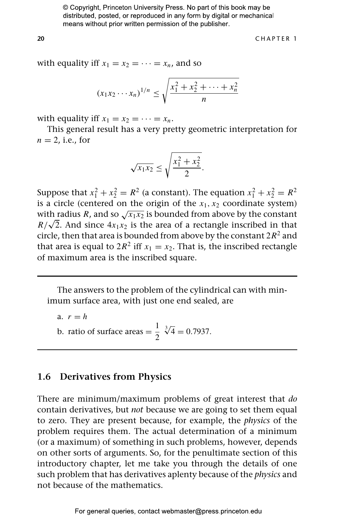**20** CHAPTER 1

with equality iff  $x_1 = x_2 = \cdots = x_n$ , and so

$$
(x_1x_2\cdots x_n)^{1/n} \le \sqrt{\frac{x_1^2 + x_2^2 + \cdots + x_n^2}{n}}
$$

with equality iff  $x_1 = x_2 = \cdots = x_n$ .

This general result has a very pretty geometric interpretation for  $n = 2$ , i.e., for

$$
\sqrt{x_1 x_2} \le \sqrt{\frac{x_1^2 + x_2^2}{2}}.
$$

Suppose that  $x_1^2 + x_2^2 = R^2$  (a constant). The equation  $x_1^2 + x_2^2 = R^2$ is a circle (centered on the origin of the  $x_1, x_2$  coordinate system) with radius *R*, and so  $\sqrt{x_1 x_2}$  is bounded from above by the constant  $R/\sqrt{2}$ . And since  $4x_1x_2$  is the area of a rectangle inscribed in that circle, then that area is bounded from above by the constant  $2R^2$  and that area is equal to  $2R^2$  iff  $x_1 = x_2$ . That is, the inscribed rectangle of maximum area is the inscribed square.

The answers to the problem of the cylindrical can with minimum surface area, with just one end sealed, are

a. 
$$
r = h
$$
  
b. ratio of surface areas  $= \frac{1}{2} \sqrt[3]{4} = 0.7937$ .

### **1.6 Derivatives from Physics**

There are minimum/maximum problems of great interest that *do* contain derivatives, but *not* because we are going to set them equal to zero. They are present because, for example, the *physics* of the problem requires them. The actual determination of a minimum (or a maximum) of something in such problems, however, depends on other sorts of arguments. So, for the penultimate section of this introductory chapter, let me take you through the details of one such problem that has derivatives aplenty because of the *physics* and not because of the mathematics.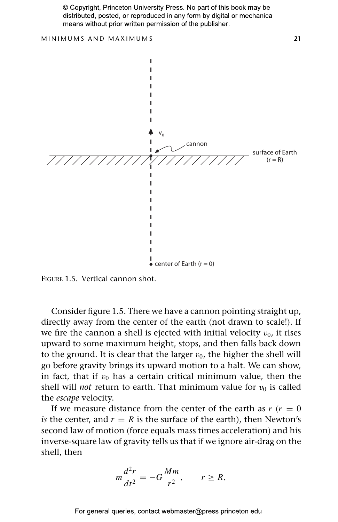

FIGURE 1.5. Vertical cannon shot.

Consider figure 1.5. There we have a cannon pointing straight up, directly away from the center of the earth (not drawn to scale!). If we fire the cannon a shell is ejected with initial velocity  $v_0$ , it rises upward to some maximum height, stops, and then falls back down to the ground. It is clear that the larger  $v_0$ , the higher the shell will go before gravity brings its upward motion to a halt. We can show, in fact, that if  $v_0$  has a certain critical minimum value, then the shell will *not* return to earth. That minimum value for  $v_0$  is called the *escape* velocity.

If we measure distance from the center of the earth as  $r(r = 0)$ *is* the center, and  $r = R$  is the surface of the earth), then Newton's second law of motion (force equals mass times acceleration) and his inverse-square law of gravity tells us that if we ignore air-drag on the shell, then

$$
m\frac{d^2r}{dt^2} = -G\frac{Mm}{r^2}, \qquad r \ge R,
$$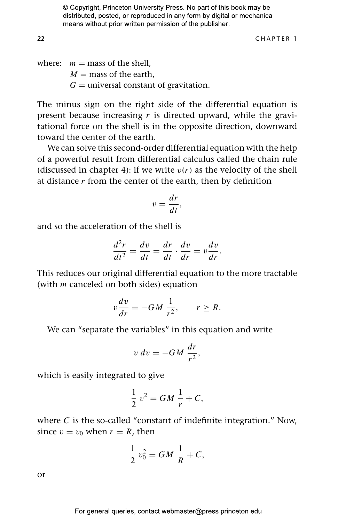**22** CHAPTER 1

where:  $m =$  mass of the shell,  $M =$  mass of the earth,  $G =$  universal constant of gravitation.

The minus sign on the right side of the differential equation is present because increasing *r* is directed upward, while the gravitational force on the shell is in the opposite direction, downward toward the center of the earth.

We can solve this second-order differential equation with the help of a powerful result from differential calculus called the chain rule (discussed in chapter 4): if we write  $v(r)$  as the velocity of the shell at distance *r* from the center of the earth, then by definition

$$
v = \frac{dr}{dt},
$$

and so the acceleration of the shell is

$$
\frac{d^2r}{dt^2} = \frac{dv}{dt} = \frac{dr}{dt} \cdot \frac{dv}{dr} = v\frac{dv}{dr}.
$$

This reduces our original differential equation to the more tractable (with *m* canceled on both sides) equation

$$
v\frac{dv}{dr} = -GM\,\frac{1}{r^2}, \qquad r \ge R.
$$

We can "separate the variables" in this equation and write

$$
v dv = -GM \frac{dr}{r^2},
$$

which is easily integrated to give

$$
\frac{1}{2}v^2 = GM\frac{1}{r} + C,
$$

where *C* is the so-called "constant of indefinite integration." Now, since  $v = v_0$  when  $r = R$ , then

$$
\frac{1}{2} v_0^2 = GM \frac{1}{R} + C,
$$

or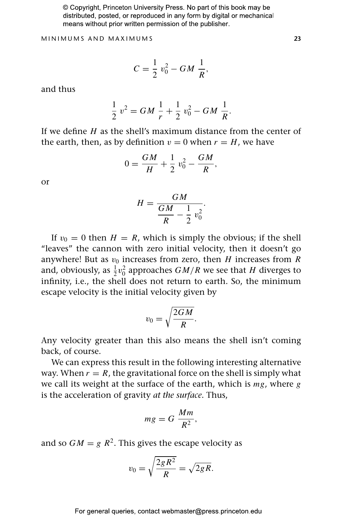MINIMUMS AND MAXIMUMS **23**

$$
C = \frac{1}{2} v_0^2 - GM \frac{1}{R},
$$

and thus

$$
\frac{1}{2}v^2 = GM\frac{1}{r} + \frac{1}{2}v_0^2 - GM\frac{1}{R}.
$$

If we define *H* as the shell's maximum distance from the center of the earth, then, as by definition  $v = 0$  when  $r = H$ , we have

$$
0 = \frac{GM}{H} + \frac{1}{2} v_0^2 - \frac{GM}{R},
$$

or

$$
H = \frac{GM}{\frac{GM}{R} - \frac{1}{2}v_0^2}.
$$

If  $v_0 = 0$  then  $H = R$ , which is simply the obvious; if the shell "leaves" the cannon with zero initial velocity, then it doesn't go anywhere! But as  $v_0$  increases from zero, then *H* increases from *R* and, obviously, as  $\frac{1}{2}v_0^2$  approaches  $GM/R$  we see that  $H$  diverges to infinity, i.e., the shell does not return to earth. So, the minimum escape velocity is the initial velocity given by

$$
v_0 = \sqrt{\frac{2GM}{R}}.
$$

Any velocity greater than this also means the shell isn't coming back, of course.

We can express this result in the following interesting alternative way. When  $r = R$ , the gravitational force on the shell is simply what we call its weight at the surface of the earth, which is *mg*, where *g* is the acceleration of gravity *at the surface*. Thus,

$$
mg = G \frac{Mm}{R^2},
$$

and so  $GM = g R^2$ . This gives the escape velocity as

$$
v_0 = \sqrt{\frac{2gR^2}{R}} = \sqrt{2gR}.
$$

For general queries, contact webmaster@press.princeton.edu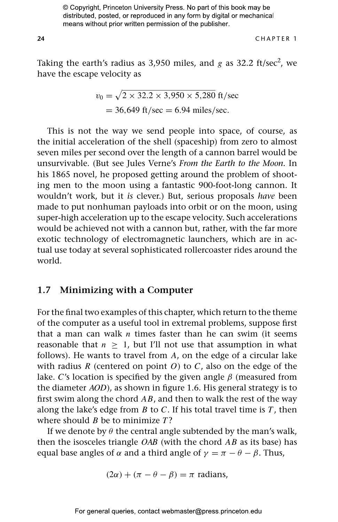**24** CHAPTER 1

Taking the earth's radius as 3,950 miles, and  $g$  as 32.2 ft/sec<sup>2</sup>, we have the escape velocity as

$$
v_0 = \sqrt{2 \times 32.2 \times 3,950 \times 5,280}
$$
 ft/sec  
= 36,649 ft/sec = 6.94 miles/sec.

This is not the way we send people into space, of course, as the initial acceleration of the shell (spaceship) from zero to almost seven miles per second over the length of a cannon barrel would be unsurvivable. (But see Jules Verne's *From the Earth to the Moon.* In his 1865 novel, he proposed getting around the problem of shooting men to the moon using a fantastic 900-foot-long cannon. It wouldn't work, but it *is* clever.) But, serious proposals *have* been made to put nonhuman payloads into orbit or on the moon, using super-high acceleration up to the escape velocity. Such accelerations would be achieved not with a cannon but, rather, with the far more exotic technology of electromagnetic launchers, which are in actual use today at several sophisticated rollercoaster rides around the world.

## **1.7 Minimizing with a Computer**

For the final two examples of this chapter, which return to the theme of the computer as a useful tool in extremal problems, suppose first that a man can walk *n* times faster than he can swim (it seems reasonable that  $n > 1$ , but I'll not use that assumption in what follows). He wants to travel from *A*, on the edge of a circular lake with radius *R* (centered on point *O*) to *C*, also on the edge of the lake. *C*'s location is specified by the given angle *β* (measured from the diameter *AOD*), as shown in figure 1.6. His general strategy is to first swim along the chord *AB*, and then to walk the rest of the way along the lake's edge from *B* to *C*. If his total travel time is *T* , then where should *B* be to minimize *T* ?

If we denote by  $\theta$  the central angle subtended by the man's walk, then the isosceles triangle *OAB* (with the chord *AB* as its base) has equal base angles of  $\alpha$  and a third angle of  $\gamma = \pi - \theta - \beta$ . Thus,

$$
(2\alpha) + (\pi - \theta - \beta) = \pi
$$
 radians,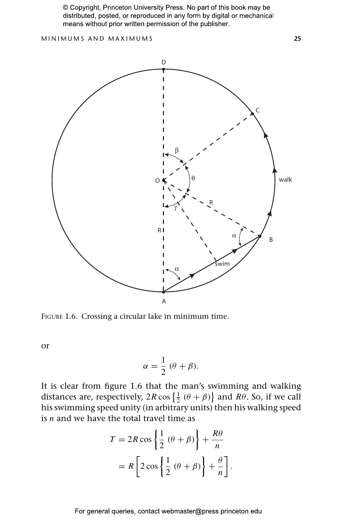MINIMUMS AND MAXIMUMS **25**



FIGURE 1.6. Crossing a circular lake in minimum time.

or

$$
\alpha = \frac{1}{2} (\theta + \beta).
$$

It is clear from figure 1.6 that the man's swimming and walking distances are, respectively,  $2R \cos\left\{\frac{1}{2}(\theta + \beta)\right\}$  and  $R\theta$ . So, if we call his swimming speed unity (in arbitrary units) then his walking speed is *n* and we have the total travel time as

$$
T = 2R \cos \left\{ \frac{1}{2} (\theta + \beta) \right\} + \frac{R\theta}{n}
$$

$$
= R \left[ 2 \cos \left\{ \frac{1}{2} (\theta + \beta) \right\} + \frac{\theta}{n} \right].
$$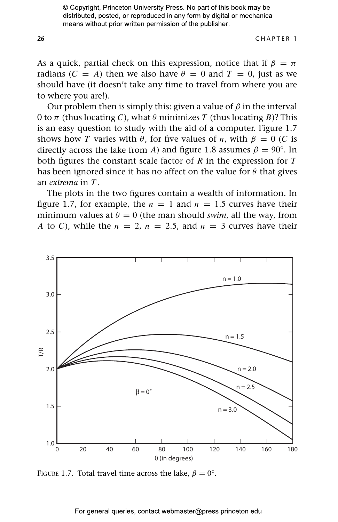**26** CHAPTER 1

As a quick, partial check on this expression, notice that if  $\beta = \pi$ radians  $(C = A)$  then we also have  $\theta = 0$  and  $T = 0$ , just as we should have (it doesn't take any time to travel from where you are to where you are!).

Our problem then is simply this: given a value of *β* in the interval 0 to *π* (thus locating *C*), what *θ* minimizes *T* (thus locating *B*)? This is an easy question to study with the aid of a computer. Figure 1.7 shows how *T* varies with  $\theta$ , for five values of *n*, with  $\beta = 0$  (*C* is directly across the lake from *A*) and figure 1.8 assumes  $\beta = 90^{\circ}$ . In both figures the constant scale factor of *R* in the expression for *T* has been ignored since it has no affect on the value for *θ* that gives an *extrema* in *T* .

The plots in the two figures contain a wealth of information. In figure 1.7, for example, the  $n = 1$  and  $n = 1.5$  curves have their minimum values at  $\theta = 0$  (the man should *swim*, all the way, from *A* to *C*), while the  $n = 2$ ,  $n = 2.5$ , and  $n = 3$  curves have their



FIGURE 1.7. Total travel time across the lake,  $\beta = 0^{\circ}$ .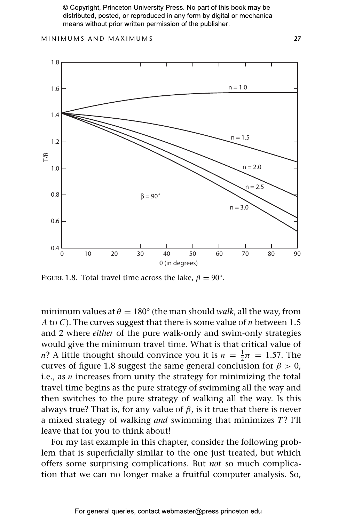MINIMUMS AND MAXIMUMS **27**



FIGURE 1.8. Total travel time across the lake,  $\beta = 90^{\circ}$ .

minimum values at  $\theta = 180^{\circ}$  (the man should *walk*, all the way, from *A* to *C*). The curves suggest that there is some value of *n* between 1.5 and 2 where *either* of the pure walk-only and swim-only strategies would give the minimum travel time. What is that critical value of *n*? A little thought should convince you it is  $n = \frac{1}{2}\pi = 1.57$ . The curves of figure 1.8 suggest the same general conclusion for  $\beta > 0$ , i.e., as *n* increases from unity the strategy for minimizing the total travel time begins as the pure strategy of swimming all the way and then switches to the pure strategy of walking all the way. Is this always true? That is, for any value of  $β$ , is it true that there is never a mixed strategy of walking *and* swimming that minimizes *T*? I'll leave that for you to think about!

For my last example in this chapter, consider the following problem that is superficially similar to the one just treated, but which offers some surprising complications. But *not* so much complication that we can no longer make a fruitful computer analysis. So,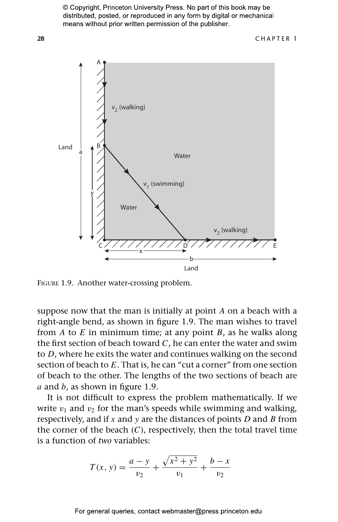

FIGURE 1.9. Another water-crossing problem.

suppose now that the man is initially at point *A* on a beach with a right-angle bend, as shown in figure 1.9. The man wishes to travel from *A* to *E* in minimum time; at any point *B*, as he walks along the first section of beach toward *C*, he can enter the water and swim to *D*, where he exits the water and continues walking on the second section of beach to *E*. That is, he can "cut a corner" from one section of beach to the other. The lengths of the two sections of beach are *a* and *b*, as shown in figure 1.9.

It is not difficult to express the problem mathematically. If we write  $v_1$  and  $v_2$  for the man's speeds while swimming and walking, respectively, and if *x* and *y* are the distances of points *D* and *B* from the corner of the beach (*C*), respectively, then the total travel time is a function of *two* variables:

$$
T(x, y) = \frac{a - y}{v_2} + \frac{\sqrt{x^2 + y^2}}{v_1} + \frac{b - x}{v_2}
$$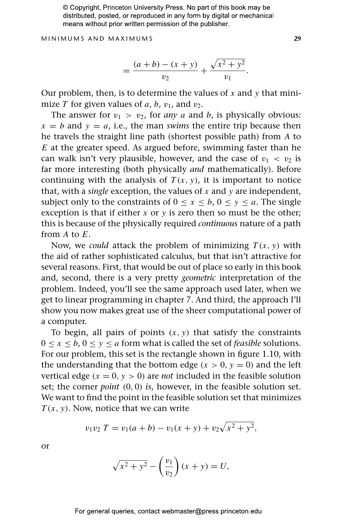MINIMUMS AND MAXIMUMS **29**

$$
= \frac{(a+b)-(x+y)}{v_2} + \frac{\sqrt{x^2+y^2}}{v_1}.
$$

Our problem, then, is to determine the values of *x* and *y* that minimize *T* for given values of *a*, *b*,  $v_1$ , and  $v_2$ .

The answer for  $v_1 > v_2$ , for *any a* and *b*, is physically obvious:  $x = b$  and  $y = a$ , i.e., the man *swims* the entire trip because then he travels the straight line path (shortest possible path) from *A* to *E* at the greater speed. As argued before, swimming faster than he can walk isn't very plausible, however, and the case of  $v_1 < v_2$  is far more interesting (both physically *and* mathematically). Before continuing with the analysis of  $T(x, y)$ , it is important to notice that, with a *single* exception, the values of *x* and *y* are independent, subject only to the constraints of  $0 \le x \le b$ ,  $0 \le y \le a$ . The single exception is that if either  $x$  or  $y$  is zero then so must be the other; this is because of the physically required *continuous* nature of a path from *A* to *E*.

Now, we *could* attack the problem of minimizing  $T(x, y)$  with the aid of rather sophisticated calculus, but that isn't attractive for several reasons. First, that would be out of place so early in this book and, second, there is a very pretty *geometric* interpretation of the problem. Indeed, you'll see the same approach used later, when we get to linear programming in chapter 7. And third, the approach I'll show you now makes great use of the sheer computational power of a computer.

To begin, all pairs of points  $(x, y)$  that satisfy the constraints  $0 \le x \le b$ ,  $0 \le y \le a$  form what is called the set of *feasible* solutions. For our problem, this set is the rectangle shown in figure 1.10, with the understanding that the bottom edge  $(x > 0, y = 0)$  and the left vertical edge  $(x = 0, y > 0)$  are *not* included in the feasible solution set; the corner *point (*0*,* 0*) is*, however, in the feasible solution set. We want to find the point in the feasible solution set that minimizes *T (x, y)*. Now, notice that we can write

$$
v_1v_2 T = v_1(a+b) - v_1(x+y) + v_2\sqrt{x^2 + y^2},
$$

or

$$
\sqrt{x^2 + y^2} - \left(\frac{v_1}{v_2}\right)(x + y) = U,
$$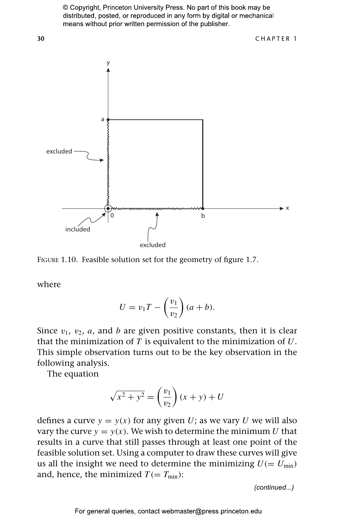

FIGURE 1.10. Feasible solution set for the geometry of figure 1.7.

where

$$
U = v_1 T - \left(\frac{v_1}{v_2}\right)(a+b).
$$

Since  $v_1$ ,  $v_2$ ,  $a$ , and  $b$  are given positive constants, then it is clear that the minimization of *T* is equivalent to the minimization of *U*. This simple observation turns out to be the key observation in the following analysis.

The equation

$$
\sqrt{x^2 + y^2} = \left(\frac{v_1}{v_2}\right)(x + y) + U
$$

defines a curve  $y = y(x)$  for any given U; as we vary U we will also vary the curve  $y = y(x)$ . We wish to determine the minimum *U* that results in a curve that still passes through at least one point of the feasible solution set. Using a computer to draw these curves will give us all the insight we need to determine the minimizing  $U (= U_{min})$ and, hence, the minimized  $T (= T_{min})$ :

*(continued...)*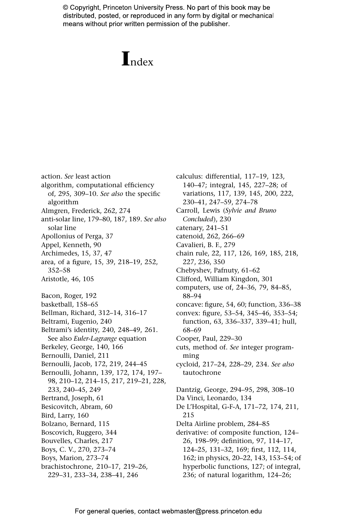# **I**ndex

action. *See* least action algorithm, computational efficiency of, 295, 309–10. *See also* the specific algorithm Almgren, Frederick, 262, 274 anti-solar line, 179–80, 187, 189. *See also* solar line Apollonius of Perga, 37 Appel, Kenneth, 90 Archimedes, 15, 37, 47 area, of a figure, 15, 39, 218–19, 252, 352–58 Aristotle, 46, 105 Bacon, Roger, 192 basketball, 158–65 Bellman, Richard, 312–14, 316–17 Beltrami, Eugenio, 240 Beltrami's identity, 240, 248–49, 261. See also *Euler-Lagrange* equation Berkeley, George, 140, 166 Bernoulli, Daniel, 211 Bernoulli, Jacob, 172, 219, 244–45 Bernoulli, Johann, 139, 172, 174, 197– 98, 210–12, 214–15, 217, 219–21, 228, 233, 240–45, 249 Bertrand, Joseph, 61 Besicovitch, Abram, 60 Bird, Larry, 160 Bolzano, Bernard, 115 Boscovich, Ruggero, 344 Bouvelles, Charles, 217 Boys, C. V., 270, 273–74 Boys, Marion, 273–74 brachistochrone, 210–17, 219–26, 229–31, 233–34, 238–41, 246

calculus: differential, 117–19, 123, 140–47; integral, 145, 227–28; of variations, 117, 139, 145, 200, 222, 230–41, 247–59, 274–78 Carroll, Lewis (*Sylvie and Bruno Concluded*), 230 catenary, 241–51 catenoid, 262, 266–69 Cavalieri, B. F., 279 chain rule, 22, 117, 126, 169, 185, 218, 227, 236, 350 Chebyshev, Pafnuty, 61–62 Clifford, William Kingdon, 301 computers, use of, 24–36, 79, 84–85, 88–94 concave: figure, 54, 60; function, 336–38 convex: figure, 53–54, 345–46, 353–54; function, 63, 336–337, 339–41; hull, 68–69 Cooper, Paul, 229–30 cuts, method of. *See* integer programming cycloid, 217–24, 228–29, 234. *See also* tautochrone Dantzig, George, 294–95, 298, 308–10 Da Vinci, Leonardo, 134 De L'Hospital, G-F-A, 171–72, 174, 211, 215 Delta Airline problem, 284–85 derivative: of composite function, 124– 26, 198–99; definition, 97, 114–17, 124–25, 131–32, 169; first, 112, 114, 162; in physics, 20–22, 143, 153–54; of hyperbolic functions, 127; of integral, 236; of natural logarithm, 124–26;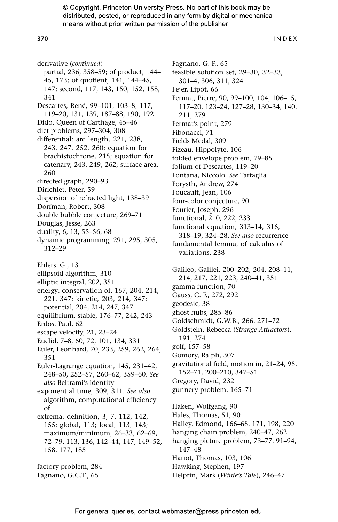**370** INDEX

derivative (*continued*) partial, 236, 358–59; of product, 144– 45, 173; of quotient, 141, 144–45, 147; second, 117, 143, 150, 152, 158, 341 Descartes, René, 99–101, 103–8, 117, 119–20, 131, 139, 187–88, 190, 192 Dido, Queen of Carthage, 45–46 diet problems, 297–304, 308 differential: arc length, 221, 238, 243, 247, 252, 260; equation for brachistochrone, 215; equation for catenary, 243, 249, 262; surface area, 260 directed graph, 290–93 Dirichlet, Peter, 59 dispersion of refracted light, 138–39 Dorfman, Robert, 308 double bubble conjecture, 269–71 Douglas, Jesse, 263 duality, 6, 13, 55–56, 68 dynamic programming, 291, 295, 305, 312–29 Ehlers. G., 13 ellipsoid algorithm, 310 elliptic integral, 202, 351 energy: conservation of, 167, 204, 214, 221, 347; kinetic, 203, 214, 347; potential, 204, 214, 247, 347 equilibrium, stable, 176–77, 242, 243 Erdõs, Paul, 62 escape velocity, 21, 23–24 Euclid, 7–8, 60, 72, 101, 134, 331 Euler, Leonhard, 70, 233, 259, 262, 264, 351 Euler-Lagrange equation, 145, 231–42, 248–50, 252–57, 260–62, 359–60. *See also* Beltrami's identity exponential time, 309, 311. *See also* algorithm, computational efficiency of extrema: definition, 3, 7, 112, 142, 155; global, 113; local, 113, 143; maximum/minimum, 26–33, 62–69, 72–79, 113, 136, 142–44, 147, 149–52, 158, 177, 185 factory problem, 284 Fagnano, G.C.T., 65

Fagnano, G. F., 65 feasible solution set, 29–30, 32–33, 301–4, 306, 311, 324 Fejer, Lipót, 66 Fermat, Pierre, 90, 99–100, 104, 106–15, 117–20, 123–24, 127–28, 130–34, 140, 211, 279 Fermat's point, 279 Fibonacci, 71 Fields Medal, 309 Fizeau, Hippolyte, 106 folded envelope problem, 79–85 folium of Descartes, 119–20 Fontana, Niccolo. *See* Tartaglia Forysth, Andrew, 274 Foucault, Jean, 106 four-color conjecture, 90 Fourier, Joseph, 296 functional, 210, 222, 233 functional equation, 313–14, 316, 318–19, 324–28. *See also* recurrence fundamental lemma, of calculus of variations, 238 Galileo, Galilei, 200–202, 204, 208–11, 214, 217, 221, 223, 240–41, 351 gamma function, 70 Gauss, C. F., 272, 292 geodesic, 38 ghost hubs, 285–86 Goldschmidt, G.W.B., 266, 271–72 Goldstein, Rebecca (*Strange Attractors*), 191, 274 golf, 157–58 Gomory, Ralph, 307 gravitational field, motion in, 21–24, 95, 152–71, 200–210, 347–51 Gregory, David, 232 gunnery problem, 165–71 Haken, Wolfgang, 90 Hales, Thomas, 51, 90 Halley, Edmond, 166–68, 171, 198, 220 hanging chain problem, 240–47, 262 hanging picture problem, 73–77, 91–94, 147–48 Hariot, Thomas, 103, 106 Hawking, Stephen, 197 Helprin, Mark (*Winte's Tale*), 246–47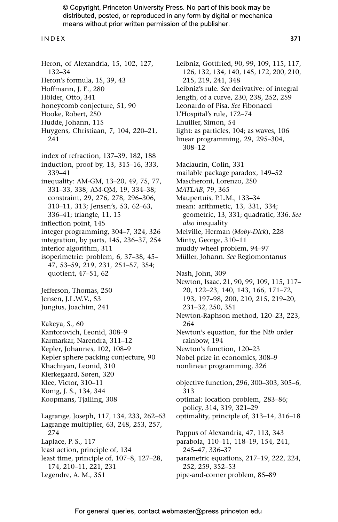#### INDEX **371**

Heron, of Alexandria, 15, 102, 127, 132–34 Heron's formula, 15, 39, 43 Hoffmann, J. E., 280 Hölder, Otto, 341 honeycomb conjecture, 51, 90 Hooke, Robert, 250 Hudde, Johann, 115 Huygens, Christiaan, 7, 104, 220–21, 241 index of refraction, 137–39, 182, 188 induction, proof by, 13, 315–16, 333, 339–41 inequality: AM-GM, 13–20, 49, 75, 77, 331–33, 338; AM-QM, 19, 334–38; constraint, 29, 276, 278, 296–306, 310–11, 313; Jensen's, 53, 62–63, 336–41; triangle, 11, 15 inflection point, 145 integer programming, 304–7, 324, 326 integration, by parts, 145, 236–37, 254 interior algorithm, 311 isoperimetric: problem, 6, 37–38, 45– 47, 53–59, 219, 231, 251–57, 354; quotient, 47–51, 62 Jefferson, Thomas, 250 Jensen, J.L.W.V., 53 Jungius, Joachim, 241 Kakeya, S., 60 Kantorovich, Leonid, 308–9 Karmarkar, Narendra, 311–12 Kepler, Johannes, 102, 108–9 Kepler sphere packing conjecture, 90 Khachiyan, Leonid, 310 Kierkegaard, Søren, 320 Klee, Victor, 310–11 König, J. S., 134, 344 Koopmans, Tjalling, 308 Lagrange, Joseph, 117, 134, 233, 262–63 Lagrange multiplier, 63, 248, 253, 257, 274 Laplace, P. S., 117 least action, principle of, 134 least time, principle of, 107–8, 127–28, 174, 210–11, 221, 231 Legendre, A. M., 351

Leibniz, Gottfried, 90, 99, 109, 115, 117, 126, 132, 134, 140, 145, 172, 200, 210, 215, 219, 241, 348 Leibniz's rule. *See* derivative: of integral length, of a curve, 230, 238, 252, 259 Leonardo of Pisa. *See* Fibonacci L'Hospital's rule, 172–74 Lhuilier, Simon, 54 light: as particles, 104; as waves, 106 linear programming, 29, 295–304, 308–12 Maclaurin, Colin, 331 mailable package paradox, 149–52 Mascheroni, Lorenzo, 250 *MATLAB*, 79, 365 Maupertuis, P.L.M., 133–34 mean: arithmetic, 13, 331, 334; geometric, 13, 331; quadratic, 336. *See also* inequality Melville, Herman (*Moby-Dick*), 228 Minty, George, 310–11 muddy wheel problem, 94–97 Müller, Johann. *See* Regiomontanus Nash, John, 309 Newton, Isaac, 21, 90, 99, 109, 115, 117– 20, 122–23, 140, 143, 166, 171–72, 193, 197–98, 200, 210, 215, 219–20, 231–32, 250, 351 Newton-Raphson method, 120–23, 223, 264 Newton's equation, for the N*th* order rainbow, 194 Newton's function, 120–23 Nobel prize in economics, 308–9 nonlinear programming, 326 objective function, 296, 300–303, 305–6, 313 optimal: location problem, 283–86; policy, 314, 319, 321–29 optimality, principle of, 313–14, 316–18 Pappus of Alexandria, 47, 113, 343 parabola, 110–11, 118–19, 154, 241, 245–47, 336–37 parametric equations, 217–19, 222, 224, 252, 259, 352–53

pipe-and-corner problem, 85–89